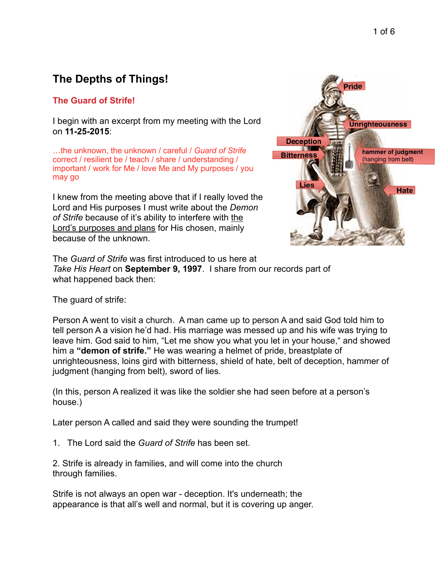# **The Depths of Things!**

# **The Guard of Strife!**

I begin with an excerpt from my meeting with the Lord on **11-25-2015**:

…the unknown, the unknown / careful / *Guard of Strife* correct / resilient be / teach / share / understanding / important / work for Me / love Me and My purposes / you may go

I knew from the meeting above that if I really loved the Lord and His purposes I must write about the *Demon of Strife* because of it's ability to interfere with the Lord's purposes and plans for His chosen, mainly because of the unknown.



The *Guard of Strife* was first introduced to us here at *Take His Heart* on **September 9, 1997**. I share from our records part of what happened back then:

The guard of strife:

Person A went to visit a church. A man came up to person A and said God told him to tell person A a vision he'd had. His marriage was messed up and his wife was trying to leave him. God said to him, "Let me show you what you let in your house," and showed him a **"demon of strife."** He was wearing a helmet of pride, breastplate of unrighteousness, loins gird with bitterness, shield of hate, belt of deception, hammer of judgment (hanging from belt), sword of lies.

(In this, person A realized it was like the soldier she had seen before at a person's house.)

Later person A called and said they were sounding the trumpet!

1. The Lord said the *Guard of Strife* has been set.

2. Strife is already in families, and will come into the church through families.

Strife is not always an open war - deception. It's underneath; the appearance is that all's well and normal, but it is covering up anger.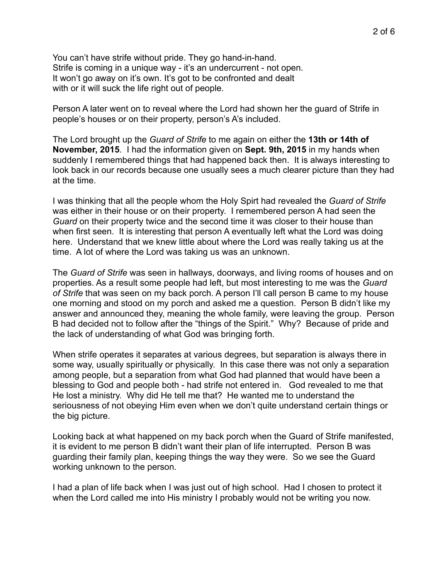You can't have strife without pride. They go hand-in-hand. Strife is coming in a unique way - it's an undercurrent - not open. It won't go away on it's own. It's got to be confronted and dealt with or it will suck the life right out of people.

Person A later went on to reveal where the Lord had shown her the guard of Strife in people's houses or on their property, person's A's included.

The Lord brought up the *Guard of Strife* to me again on either the **13th or 14th of November, 2015**. I had the information given on **Sept. 9th, 2015** in my hands when suddenly I remembered things that had happened back then. It is always interesting to look back in our records because one usually sees a much clearer picture than they had at the time.

I was thinking that all the people whom the Holy Spirt had revealed the *Guard of Strife* was either in their house or on their property. I remembered person A had seen the *Guard* on their property twice and the second time it was closer to their house than when first seen. It is interesting that person A eventually left what the Lord was doing here. Understand that we knew little about where the Lord was really taking us at the time. A lot of where the Lord was taking us was an unknown.

The *Guard of Strife* was seen in hallways, doorways, and living rooms of houses and on properties. As a result some people had left, but most interesting to me was the *Guard of Strife* that was seen on my back porch. A person I'll call person B came to my house one morning and stood on my porch and asked me a question. Person B didn't like my answer and announced they, meaning the whole family, were leaving the group. Person B had decided not to follow after the "things of the Spirit." Why? Because of pride and the lack of understanding of what God was bringing forth.

When strife operates it separates at various degrees, but separation is always there in some way, usually spiritually or physically. In this case there was not only a separation among people, but a separation from what God had planned that would have been a blessing to God and people both - had strife not entered in. God revealed to me that He lost a ministry. Why did He tell me that? He wanted me to understand the seriousness of not obeying Him even when we don't quite understand certain things or the big picture.

Looking back at what happened on my back porch when the Guard of Strife manifested, it is evident to me person B didn't want their plan of life interrupted. Person B was guarding their family plan, keeping things the way they were. So we see the Guard working unknown to the person.

I had a plan of life back when I was just out of high school. Had I chosen to protect it when the Lord called me into His ministry I probably would not be writing you now.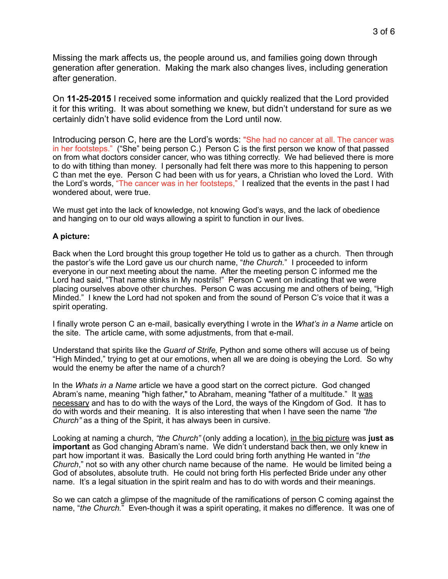Missing the mark affects us, the people around us, and families going down through generation after generation. Making the mark also changes lives, including generation after generation.

On **11-25-2015** I received some information and quickly realized that the Lord provided it for this writing. It was about something we knew, but didn't understand for sure as we certainly didn't have solid evidence from the Lord until now.

Introducing person C, here are the Lord's words: "She had no cancer at all. The cancer was in her footsteps." ("She" being person C.) Person C is the first person we know of that passed on from what doctors consider cancer, who was tithing correctly. We had believed there is more to do with tithing than money. I personally had felt there was more to this happening to person C than met the eye. Person C had been with us for years, a Christian who loved the Lord. With the Lord's words, "The cancer was in her footsteps," I realized that the events in the past I had wondered about, were true.

We must get into the lack of knowledge, not knowing God's ways, and the lack of obedience and hanging on to our old ways allowing a spirit to function in our lives.

## **A picture:**

Back when the Lord brought this group together He told us to gather as a church. Then through the pastor's wife the Lord gave us our church name, "*the Church.*" I proceeded to inform everyone in our next meeting about the name. After the meeting person C informed me the Lord had said, "That name stinks in My nostrils!" Person C went on indicating that we were placing ourselves above other churches. Person C was accusing me and others of being, "High Minded." I knew the Lord had not spoken and from the sound of Person C's voice that it was a spirit operating.

I finally wrote person C an e-mail, basically everything I wrote in the *What's in a Name* article on the site. The article came, with some adjustments, from that e-mail.

Understand that spirits like the *Guard of Strife,* Python and some others will accuse us of being "High Minded," trying to get at our emotions, when all we are doing is obeying the Lord. So why would the enemy be after the name of a church?

In the *Whats in a Name* article we have a good start on the correct picture. God changed Abram's name, meaning "high father," to Abraham, meaning "father of a multitude." It was necessary and has to do with the ways of the Lord, the ways of the Kingdom of God. It has to do with words and their meaning. It is also interesting that when I have seen the name *"the Church"* as a thing of the Spirit, it has always been in cursive.

Looking at naming a church, *"the Church"* (only adding a location), in the big picture was **just as important** as God changing Abram's name. We didn't understand back then, we only knew in part how important it was. Basically the Lord could bring forth anything He wanted in "*the Church*," not so with any other church name because of the name. He would be limited being a God of absolutes, absolute truth. He could not bring forth His perfected Bride under any other name. It's a legal situation in the spirit realm and has to do with words and their meanings.

So we can catch a glimpse of the magnitude of the ramifications of person C coming against the name, "*the Church.*" Even-though it was a spirit operating, it makes no difference. It was one of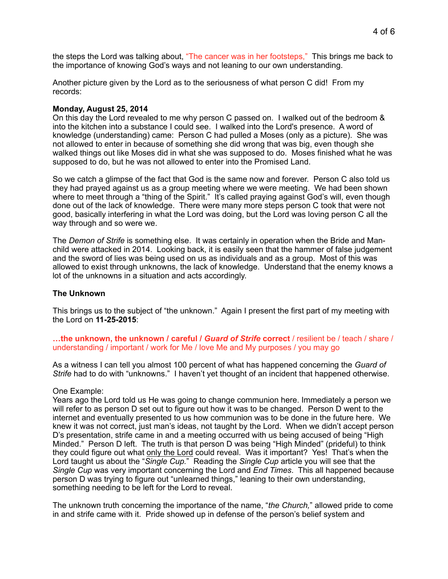the steps the Lord was talking about, "The cancer was in her footsteps," This brings me back to the importance of knowing God's ways and not leaning to our own understanding.

Another picture given by the Lord as to the seriousness of what person C did! From my records:

#### **Monday, August 25, 2014**

On this day the Lord revealed to me why person C passed on. I walked out of the bedroom & into the kitchen into a substance I could see. I walked into the Lord's presence. A word of knowledge (understanding) came: Person C had pulled a Moses (only as a picture). She was not allowed to enter in because of something she did wrong that was big, even though she walked things out like Moses did in what she was supposed to do. Moses finished what he was supposed to do, but he was not allowed to enter into the Promised Land.

So we catch a glimpse of the fact that God is the same now and forever. Person C also told us they had prayed against us as a group meeting where we were meeting. We had been shown where to meet through a "thing of the Spirit." It's called praying against God's will, even though done out of the lack of knowledge. There were many more steps person C took that were not good, basically interfering in what the Lord was doing, but the Lord was loving person C all the way through and so were we.

The *Demon of Strife* is something else. It was certainly in operation when the Bride and Manchild were attacked in 2014. Looking back, it is easily seen that the hammer of false judgement and the sword of lies was being used on us as individuals and as a group. Most of this was allowed to exist through unknowns, the lack of knowledge. Understand that the enemy knows a lot of the unknowns in a situation and acts accordingly.

#### **The Unknown**

This brings us to the subject of "the unknown." Again I present the first part of my meeting with the Lord on **11-25-2015**:

## **…the unknown, the unknown / careful /** *Guard of Strife* **correct** / resilient be / teach / share / understanding / important / work for Me / love Me and My purposes / you may go

As a witness I can tell you almost 100 percent of what has happened concerning the *Guard of Strife* had to do with "unknowns." I haven't yet thought of an incident that happened otherwise.

#### One Example:

Years ago the Lord told us He was going to change communion here. Immediately a person we will refer to as person D set out to figure out how it was to be changed. Person D went to the internet and eventually presented to us how communion was to be done in the future here. We knew it was not correct, just man's ideas, not taught by the Lord. When we didn't accept person D's presentation, strife came in and a meeting occurred with us being accused of being "High Minded." Person D left. The truth is that person D was being "High Minded" (prideful) to think they could figure out what only the Lord could reveal. Was it important? Yes! That's when the Lord taught us about the "*Single Cup.*" Reading the *Single Cup* article you will see that the *Single Cup* was very important concerning the Lord and *End Times*. This all happened because person D was trying to figure out "unlearned things," leaning to their own understanding, something needing to be left for the Lord to reveal.

The unknown truth concerning the importance of the name, "*the Church,*" allowed pride to come in and strife came with it. Pride showed up in defense of the person's belief system and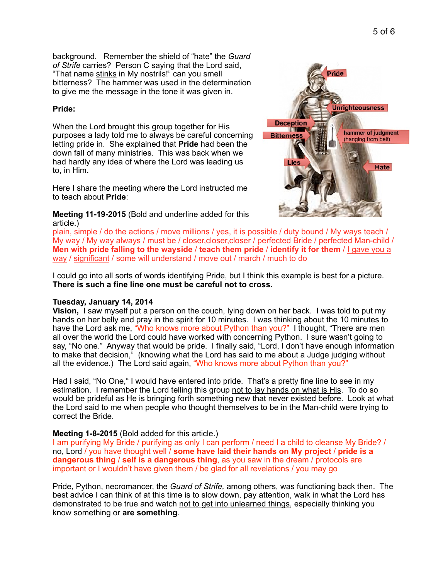background. Remember the shield of "hate" the *Guard of Strife* carries? Person C saying that the Lord said, "That name stinks in My nostrils!" can you smell bitterness? The hammer was used in the determination to give me the message in the tone it was given in.

# **Pride:**

When the Lord brought this group together for His purposes a lady told me to always be careful concerning letting pride in. She explained that **Pride** had been the down fall of many ministries. This was back when we had hardly any idea of where the Lord was leading us to, in Him.

Here I share the meeting where the Lord instructed me to teach about **Pride**:

**Meeting 11-19-2015** (Bold and underline added for this article.)

plain, simple / do the actions / move millions / yes, it is possible / duty bound / My ways teach / My way / My way always / must be / closer,closer,closer / perfected Bride / perfected Man-child / **Men with pride falling to the wayside** / **teach them pride** / **identify it for them** / I gave you a way / significant / some will understand / move out / march / much to do

I could go into all sorts of words identifying Pride, but I think this example is best for a picture. **There is such a fine line one must be careful not to cross.** 

#### **Tuesday, January 14, 2014**

**Vision,** I saw myself put a person on the couch, lying down on her back. I was told to put my hands on her belly and pray in the spirit for 10 minutes. I was thinking about the 10 minutes to have the Lord ask me, "Who knows more about Python than you?" I thought, "There are men all over the world the Lord could have worked with concerning Python. I sure wasn't going to say, "No one." Anyway that would be pride. I finally said, "Lord, I don't have enough information to make that decision," (knowing what the Lord has said to me about a Judge judging without all the evidence.) The Lord said again, "Who knows more about Python than you?"

Had I said, "No One," I would have entered into pride. That's a pretty fine line to see in my estimation. I remember the Lord telling this group not to lay hands on what is His. To do so would be prideful as He is bringing forth something new that never existed before. Look at what the Lord said to me when people who thought themselves to be in the Man-child were trying to correct the Bride.

#### **Meeting 1-8-2015** (Bold added for this article.)

I am purifying My Bride / purifying as only I can perform / need I a child to cleanse My Bride? / no, Lord / you have thought well / **some have laid their hands on My project** / **pride is a dangerous thing** / **self is a dangerous thing**, as you saw in the dream / protocols are important or I wouldn't have given them / be glad for all revelations / you may go

Pride, Python, necromancer, the *Guard of Strife,* among others, was functioning back then. The best advice I can think of at this time is to slow down, pay attention, walk in what the Lord has demonstrated to be true and watch not to get into unlearned things, especially thinking you know something or **are something**.